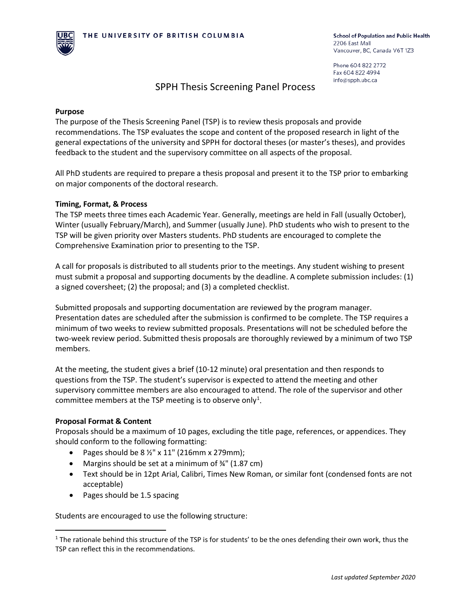

Phone 604 822 2772 Fax 604 822 4994 info@spph.ubc.ca

# SPPH Thesis Screening Panel Process

#### **Purpose**

The purpose of the Thesis Screening Panel (TSP) is to review thesis proposals and provide recommendations. The TSP evaluates the scope and content of the proposed research in light of the general expectations of the university and SPPH for doctoral theses (or master's theses), and provides feedback to the student and the supervisory committee on all aspects of the proposal.

All PhD students are required to prepare a thesis proposal and present it to the TSP prior to embarking on major components of the doctoral research.

### **Timing, Format, & Process**

The TSP meets three times each Academic Year. Generally, meetings are held in Fall (usually October), Winter (usually February/March), and Summer (usually June). PhD students who wish to present to the TSP will be given priority over Masters students. PhD students are encouraged to complete the Comprehensive Examination prior to presenting to the TSP.

A call for proposals is distributed to all students prior to the meetings. Any student wishing to present must submit a proposal and supporting documents by the deadline. A complete submission includes: (1) a signed coversheet; (2) the proposal; and (3) a completed checklist.

Submitted proposals and supporting documentation are reviewed by the program manager. Presentation dates are scheduled after the submission is confirmed to be complete. The TSP requires a minimum of two weeks to review submitted proposals. Presentations will not be scheduled before the two-week review period. Submitted thesis proposals are thoroughly reviewed by a minimum of two TSP members.

At the meeting, the student gives a brief (10-12 minute) oral presentation and then responds to questions from the TSP. The student's supervisor is expected to attend the meeting and other supervisory committee members are also encouraged to attend. The role of the supervisor and other committee members at the TSP meeting is to observe only<sup>[1](#page-0-0)</sup>.

# **Proposal Format & Content**

Proposals should be a maximum of 10 pages, excluding the title page, references, or appendices. They should conform to the following formatting:

- Pages should be  $8\frac{1}{2}$ " x 11" (216mm x 279mm);
- Margins should be set at a minimum of  $\frac{3}{4}$ " (1.87 cm)
- Text should be in 12pt Arial, Calibri, Times New Roman, or similar font (condensed fonts are not acceptable)
- Pages should be 1.5 spacing

Students are encouraged to use the following structure:

<span id="page-0-0"></span><sup>&</sup>lt;sup>1</sup> The rationale behind this structure of the TSP is for students' to be the ones defending their own work, thus the TSP can reflect this in the recommendations.